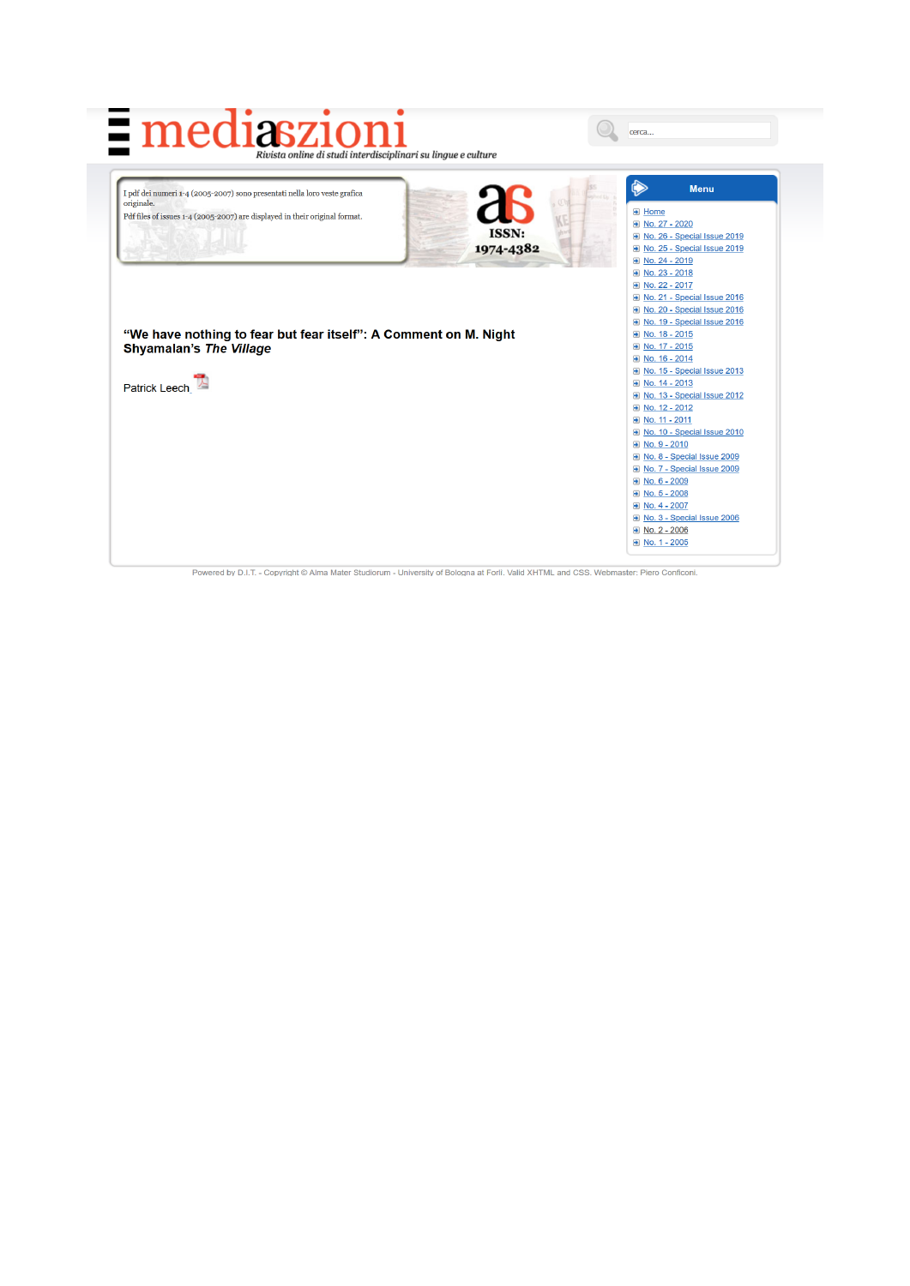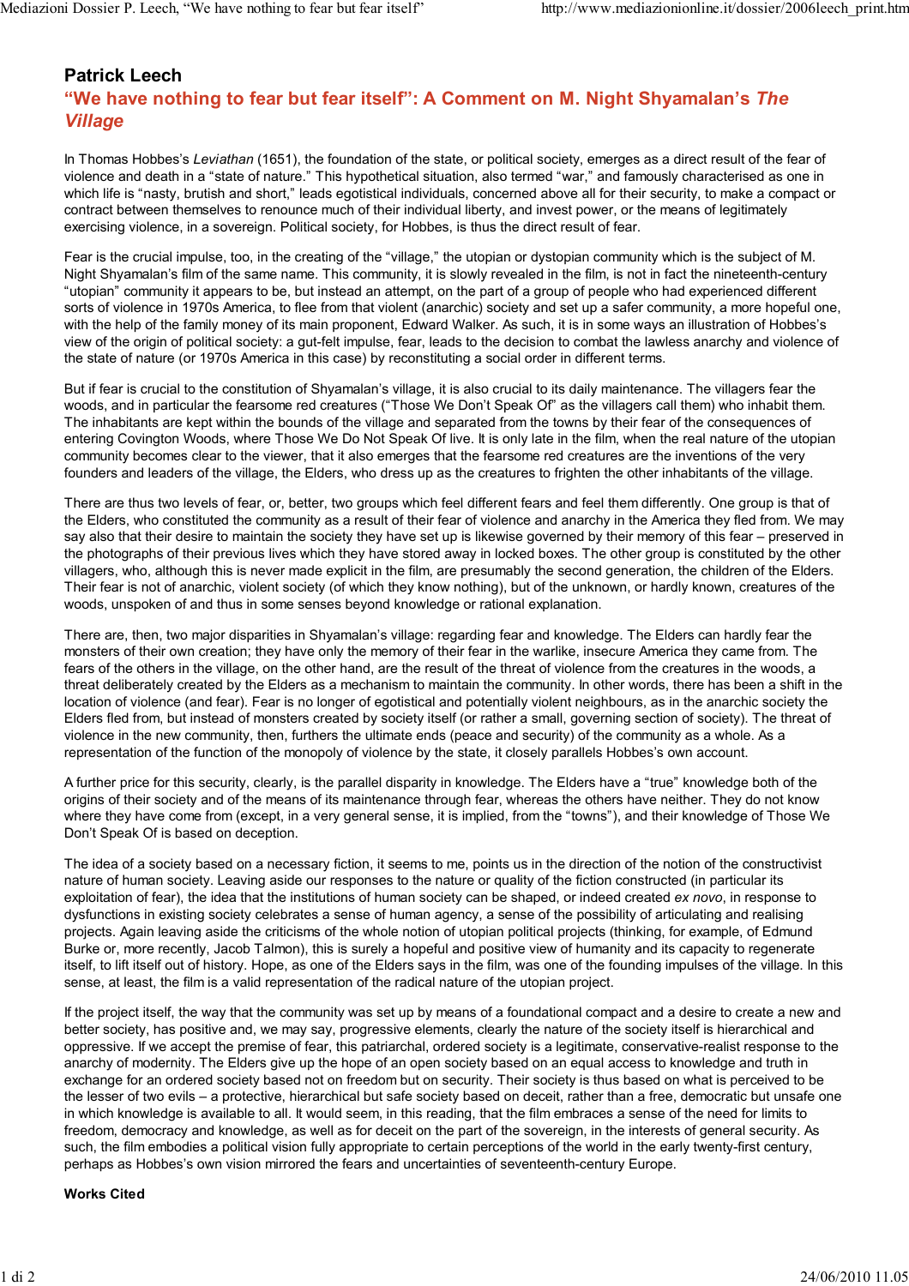## **Patrick Leech**

## **"We have nothing to fear but fear itself": A Comment on M. Night Shyamalan's** *The Village*

In Thomas Hobbes's *Leviathan* (1651), the foundation of the state, or political society, emerges as a direct result of the fear of violence and death in a "state of nature." This hypothetical situation, also termed "war," and famously characterised as one in which life is "nasty, brutish and short," leads egotistical individuals, concerned above all for their security, to make a compact or contract between themselves to renounce much of their individual liberty, and invest power, or the means of legitimately exercising violence, in a sovereign. Political society, for Hobbes, is thus the direct result of fear.

Fear is the crucial impulse, too, in the creating of the "village," the utopian or dystopian community which is the subject of M. Night Shyamalan's film of the same name. This community, it is slowly revealed in the film, is not in fact the nineteenth-century "utopian" community it appears to be, but instead an attempt, on the part of a group of people who had experienced different sorts of violence in 1970s America, to flee from that violent (anarchic) society and set up a safer community, a more hopeful one, with the help of the family money of its main proponent, Edward Walker. As such, it is in some ways an illustration of Hobbes's view of the origin of political society: a gut-felt impulse, fear, leads to the decision to combat the lawless anarchy and violence of the state of nature (or 1970s America in this case) by reconstituting a social order in different terms.

But if fear is crucial to the constitution of Shyamalan's village, it is also crucial to its daily maintenance. The villagers fear the woods, and in particular the fearsome red creatures ("Those We Don't Speak Of" as the villagers call them) who inhabit them. The inhabitants are kept within the bounds of the village and separated from the towns by their fear of the consequences of entering Covington Woods, where Those We Do Not Speak Of live. It is only late in the film, when the real nature of the utopian community becomes clear to the viewer, that it also emerges that the fearsome red creatures are the inventions of the very founders and leaders of the village, the Elders, who dress up as the creatures to frighten the other inhabitants of the village.

There are thus two levels of fear, or, better, two groups which feel different fears and feel them differently. One group is that of the Elders, who constituted the community as a result of their fear of violence and anarchy in the America they fled from. We may say also that their desire to maintain the society they have set up is likewise governed by their memory of this fear – preserved in the photographs of their previous lives which they have stored away in locked boxes. The other group is constituted by the other villagers, who, although this is never made explicit in the film, are presumably the second generation, the children of the Elders. Their fear is not of anarchic, violent society (of which they know nothing), but of the unknown, or hardly known, creatures of the woods, unspoken of and thus in some senses beyond knowledge or rational explanation.

There are, then, two major disparities in Shyamalan's village: regarding fear and knowledge. The Elders can hardly fear the monsters of their own creation; they have only the memory of their fear in the warlike, insecure America they came from. The fears of the others in the village, on the other hand, are the result of the threat of violence from the creatures in the woods, a threat deliberately created by the Elders as a mechanism to maintain the community. In other words, there has been a shift in the location of violence (and fear). Fear is no longer of egotistical and potentially violent neighbours, as in the anarchic society the Elders fled from, but instead of monsters created by society itself (or rather a small, governing section of society). The threat of violence in the new community, then, furthers the ultimate ends (peace and security) of the community as a whole. As a representation of the function of the monopoly of violence by the state, it closely parallels Hobbes's own account.

A further price for this security, clearly, is the parallel disparity in knowledge. The Elders have a "true" knowledge both of the origins of their society and of the means of its maintenance through fear, whereas the others have neither. They do not know where they have come from (except, in a very general sense, it is implied, from the "towns"), and their knowledge of Those We Don't Speak Of is based on deception.

The idea of a society based on a necessary fiction, it seems to me, points us in the direction of the notion of the constructivist nature of human society. Leaving aside our responses to the nature or quality of the fiction constructed (in particular its exploitation of fear), the idea that the institutions of human society can be shaped, or indeed created *ex novo*, in response to dysfunctions in existing society celebrates a sense of human agency, a sense of the possibility of articulating and realising projects. Again leaving aside the criticisms of the whole notion of utopian political projects (thinking, for example, of Edmund Burke or, more recently, Jacob Talmon), this is surely a hopeful and positive view of humanity and its capacity to regenerate itself, to lift itself out of history. Hope, as one of the Elders says in the film, was one of the founding impulses of the village. In this sense, at least, the film is a valid representation of the radical nature of the utopian project.

If the project itself, the way that the community was set up by means of a foundational compact and a desire to create a new and better society, has positive and, we may say, progressive elements, clearly the nature of the society itself is hierarchical and oppressive. If we accept the premise of fear, this patriarchal, ordered society is a legitimate, conservative-realist response to the anarchy of modernity. The Elders give up the hope of an open society based on an equal access to knowledge and truth in exchange for an ordered society based not on freedom but on security. Their society is thus based on what is perceived to be the lesser of two evils – a protective, hierarchical but safe society based on deceit, rather than a free, democratic but unsafe one in which knowledge is available to all. It would seem, in this reading, that the film embraces a sense of the need for limits to freedom, democracy and knowledge, as well as for deceit on the part of the sovereign, in the interests of general security. As such, the film embodies a political vision fully appropriate to certain perceptions of the world in the early twenty-first century, perhaps as Hobbes's own vision mirrored the fears and uncertainties of seventeenth-century Europe.

## **Works Cited**